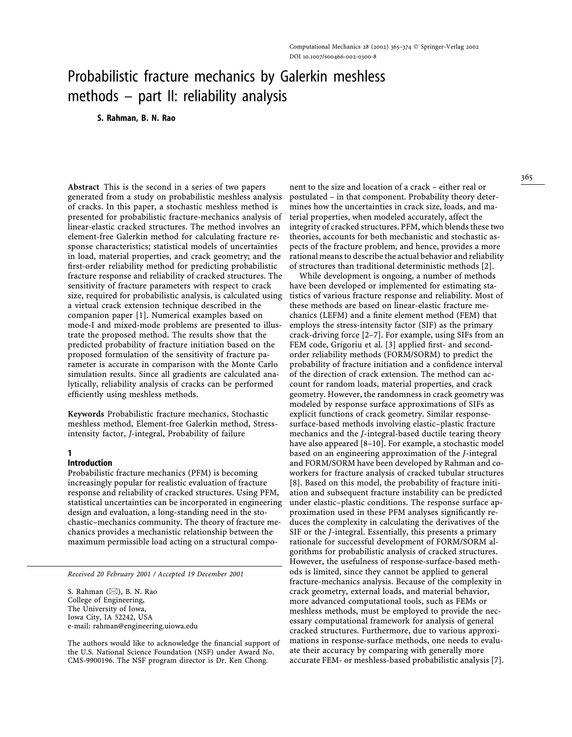# Probabilistic fracture mechanics by Galerkin meshless methods – part II: reliability analysis

S. Rahman, B. N. Rao

Abstract This is the second in a series of two papers generated from a study on probabilistic meshless analysis of cracks. In this paper, a stochastic meshless method is presented for probabilistic fracture-mechanics analysis of linear-elastic cracked structures. The method involves an element-free Galerkin method for calculating fracture response characteristics; statistical models of uncertainties in load, material properties, and crack geometry; and the first-order reliability method for predicting probabilistic fracture response and reliability of cracked structures. The sensitivity of fracture parameters with respect to crack size, required for probabilistic analysis, is calculated using a virtual crack extension technique described in the companion paper [1]. Numerical examples based on mode-I and mixed-mode problems are presented to illustrate the proposed method. The results show that the predicted probability of fracture initiation based on the proposed formulation of the sensitivity of fracture parameter is accurate in comparison with the Monte Carlo simulation results. Since all gradients are calculated analytically, reliability analysis of cracks can be performed efficiently using meshless methods.

Keywords Probabilistic fracture mechanics, Stochastic meshless method, Element-free Galerkin method, Stressintensity factor, J-integral, Probability of failure

# 1

## Introduction

Probabilistic fracture mechanics (PFM) is becoming increasingly popular for realistic evaluation of fracture response and reliability of cracked structures. Using PFM, statistical uncertainties can be incorporated in engineering design and evaluation, a long-standing need in the stochastic–mechanics community. The theory of fracture mechanics provides a mechanistic relationship between the maximum permissible load acting on a structural compo-

Received 20 February 2001 / Accepted 19 December 2001

S. Rahman (⊠), B. N. Rao College of Engineering, The University of Iowa, Iowa City, IA 52242, USA e-mail: rahman@engineering.uiowa.edu

The authors would like to acknowledge the financial support of the U.S. National Science Foundation (NSF) under Award No. CMS-9900196. The NSF program director is Dr. Ken Chong.

nent to the size and location of a crack – either real or postulated – in that component. Probability theory determines how the uncertainties in crack size, loads, and material properties, when modeled accurately, affect the integrity of cracked structures. PFM, which blends these two theories, accounts for both mechanistic and stochastic aspects of the fracture problem, and hence, provides a more rational means to describe the actual behavior and reliability of structures than traditional deterministic methods [2].

While development is ongoing, a number of methods have been developed or implemented for estimating statistics of various fracture response and reliability. Most of these methods are based on linear-elastic fracture mechanics (LEFM) and a finite element method (FEM) that employs the stress-intensity factor (SIF) as the primary crack-driving force [2–7]. For example, using SIFs from an FEM code, Grigoriu et al. [3] applied first- and secondorder reliability methods (FORM/SORM) to predict the probability of fracture initiation and a confidence interval of the direction of crack extension. The method can account for random loads, material properties, and crack geometry. However, the randomness in crack geometry was modeled by response surface approximations of SIFs as explicit functions of crack geometry. Similar responsesurface-based methods involving elastic–plastic fracture mechanics and the J-integral-based ductile tearing theory have also appeared [8–10]. For example, a stochastic model based on an engineering approximation of the J-integral and FORM/SORM have been developed by Rahman and coworkers for fracture analysis of cracked tubular structures [8]. Based on this model, the probability of fracture initiation and subsequent fracture instability can be predicted under elastic–plastic conditions. The response surface approximation used in these PFM analyses significantly reduces the complexity in calculating the derivatives of the SIF or the J-integral. Essentially, this presents a primary rationale for successful development of FORM/SORM algorithms for probabilistic analysis of cracked structures. However, the usefulness of response-surface-based methods is limited, since they cannot be applied to general fracture-mechanics analysis. Because of the complexity in crack geometry, external loads, and material behavior, more advanced computational tools, such as FEMs or meshless methods, must be employed to provide the necessary computational framework for analysis of general cracked structures. Furthermore, due to various approximations in response-surface methods, one needs to evaluate their accuracy by comparing with generally more accurate FEM- or meshless-based probabilistic analysis [7].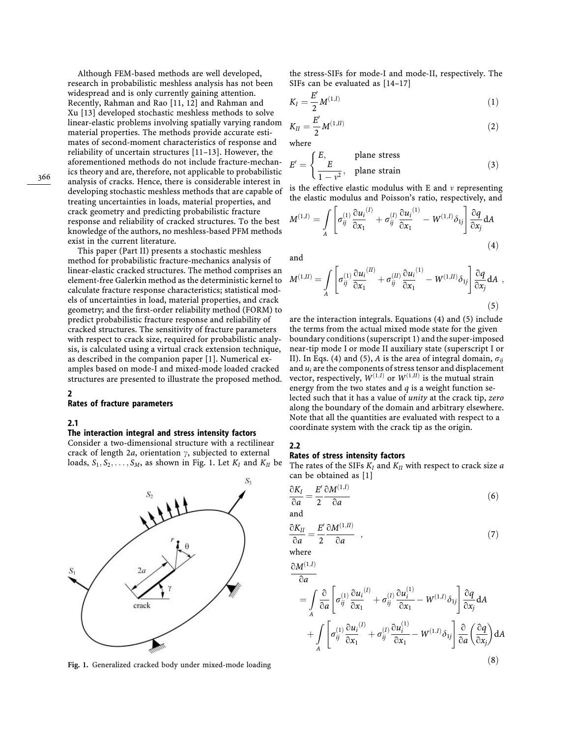366

Although FEM-based methods are well developed, research in probabilistic meshless analysis has not been widespread and is only currently gaining attention. Recently, Rahman and Rao [11, 12] and Rahman and Xu [13] developed stochastic meshless methods to solve linear-elastic problems involving spatially varying random material properties. The methods provide accurate estimates of second-moment characteristics of response and reliability of uncertain structures [11–13]. However, the aforementioned methods do not include fracture-mechanics theory and are, therefore, not applicable to probabilistic analysis of cracks. Hence, there is considerable interest in developing stochastic meshless methods that are capable of treating uncertainties in loads, material properties, and crack geometry and predicting probabilistic fracture response and reliability of cracked structures. To the best knowledge of the authors, no meshless-based PFM methods exist in the current literature.

This paper (Part II) presents a stochastic meshless method for probabilistic fracture-mechanics analysis of linear-elastic cracked structures. The method comprises an element-free Galerkin method as the deterministic kernel to calculate fracture response characteristics; statistical models of uncertainties in load, material properties, and crack geometry; and the first-order reliability method (FORM) to predict probabilistic fracture response and reliability of cracked structures. The sensitivity of fracture parameters with respect to crack size, required for probabilistic analysis, is calculated using a virtual crack extension technique, as described in the companion paper [1]. Numerical examples based on mode-I and mixed-mode loaded cracked structures are presented to illustrate the proposed method.

# 2

# Rates of fracture parameters

## 2.1

# The interaction integral and stress intensity factors

Consider a two-dimensional structure with a rectilinear crack of length 2a, orientation  $\gamma$ , subjected to external loads,  $S_1, S_2, \ldots, S_M$ , as shown in Fig. 1. Let  $K_I$  and  $K_{II}$  be



Fig. 1. Generalized cracked body under mixed-mode loading

the stress-SIFs for mode-I and mode-II, respectively. The SIFs can be evaluated as [14–17]

$$
K_{I} = \frac{E'}{2} M^{(1,I)} \tag{1}
$$

$$
K_{II} = \frac{E'}{2} M^{(1,II)} \tag{2}
$$

where

$$
E' = \begin{cases} E, & \text{plane stress} \\ \frac{E}{1 - v^2}, & \text{plane strain} \end{cases}
$$
 (3)

is the effective elastic modulus with  $E$  and  $\nu$  representing the elastic modulus and Poisson's ratio, respectively, and

$$
M^{(1,I)} = \int\limits_A \left[ \sigma_{ij}^{(1)} \frac{\partial u_i^{(I)}}{\partial x_1} + \sigma_{ij}^{(I)} \frac{\partial u_i^{(1)}}{\partial x_1} - W^{(1,I)} \delta_{1j} \right] \frac{\partial q}{\partial x_j} dA
$$
\n(4)

and

$$
M^{(1,II)} = \int\limits_A \left[ \sigma_{ij}^{(1)} \frac{\partial u_i^{(II)}}{\partial x_1} + \sigma_{ij}^{(II)} \frac{\partial u_i^{(1)}}{\partial x_1} - W^{(1,II)} \delta_{1j} \right] \frac{\partial q}{\partial x_j} dA ,
$$
\n(5)

are the interaction integrals. Equations (4) and (5) include the terms from the actual mixed mode state for the given boundary conditions (superscript 1) and the super-imposed near-tip mode I or mode II auxiliary state (superscript I or II). In Eqs. (4) and (5), A is the area of integral domain,  $\sigma_{ii}$ and  $u_i$  are the components of stress tensor and displacement vector, respectively,  $W^{(1,I)}$  or  $W^{(1,II)}$  is the mutual strain energy from the two states and  $q$  is a weight function selected such that it has a value of unity at the crack tip, zero along the boundary of the domain and arbitrary elsewhere. Note that all the quantities are evaluated with respect to a coordinate system with the crack tip as the origin.

# 2.2

## Rates of stress intensity factors

The rates of the SIFs  $K_I$  and  $K_{II}$  with respect to crack size a can be obtained as [1]

$$
\frac{\partial K_I}{\partial a} = \frac{E' \partial M^{(1,I)}}{2 \partial a} \tag{6}
$$

and

$$
\frac{\partial K_{II}}{\partial a} = \frac{E'}{2} \frac{\partial M^{(1,II)}}{\partial a} \quad , \tag{7}
$$

where 
$$
\partial M^{(1)}
$$

$$
\frac{M^{(1,1)}}{2}
$$

$$
\overline{\partial a} = \int_{A} \frac{\partial}{\partial a} \left[ \sigma_{ij}^{(1)} \frac{\partial u_i^{(I)}}{\partial x_1} + \sigma_{ij}^{(I)} \frac{\partial u_i^{(1)}}{\partial x_1} - W^{(1,I)} \delta_{1j} \right] \frac{\partial q}{\partial x_j} dA
$$

$$
+ \int_{A} \left[ \sigma_{ij}^{(1)} \frac{\partial u_i^{(I)}}{\partial x_1} + \sigma_{ij}^{(I)} \frac{\partial u_i^{(1)}}{\partial x_1} - W^{(1,I)} \delta_{1j} \right] \frac{\partial}{\partial a} \left( \frac{\partial q}{\partial x_j} \right) dA
$$
(8)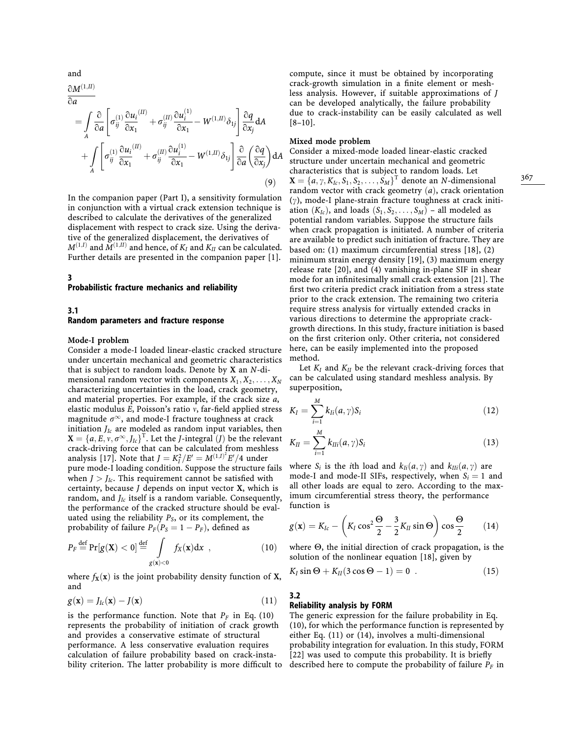and  
\n
$$
\frac{\partial M^{(1,II)}}{\partial a} = \int_A \frac{\partial}{\partial a} \left[ \sigma_{ij}^{(1)} \frac{\partial u_i^{(II)}}{\partial x_1} + \sigma_{ij}^{(II)} \frac{\partial u_i^{(1)}}{\partial x_1} - W^{(1,II)} \delta_{1j} \right] \frac{\partial q}{\partial x_j} dA + \int_A \left[ \sigma_{ij}^{(1)} \frac{\partial u_i^{(II)}}{\partial x_1} + \sigma_{ij}^{(II)} \frac{\partial u_i^{(1)}}{\partial x_1} - W^{(1,II)} \delta_{1j} \right] \frac{\partial}{\partial a} \left( \frac{\partial q}{\partial x_j} \right) dA
$$
\n(9)

In the companion paper (Part I), a sensitivity formulation in conjunction with a virtual crack extension technique is described to calculate the derivatives of the generalized displacement with respect to crack size. Using the derivative of the generalized displacement, the derivatives of  $M^{(1,I)}$  and  $M^{(1,II)}$  and hence, of  $K_I$  and  $K_{II}$  can be calculated. Further details are presented in the companion paper [1].

# 3

## Probabilistic fracture mechanics and reliability

# 3.1 Random parameters and fracture response

## Mode-I problem

Consider a mode-I loaded linear-elastic cracked structure under uncertain mechanical and geometric characteristics that is subject to random loads. Denote by  $X$  an  $N$ -dimensional random vector with components  $X_1, X_2, \ldots, X_N$ characterizing uncertainties in the load, crack geometry, and material properties. For example, if the crack size a, elastic modulus  $E$ , Poisson's ratio  $v$ , far-field applied stress magnitude  $\sigma^\infty$ , and mode-I fracture toughness at crack initiation  $J_{Ic}$  are modeled as random input variables, then  $\mathbf{X} = \{a, E, v, \sigma^{\infty}, J_{Ic}\}^{\mathrm{T}}$ . Let the *J*-integral  $(J)$  be the relevant crack-driving force that can be calculated from meshless analysis [17]. Note that  $J = K_I^2/E' = M^{(1,I)^2}E'/4$  under pure mode-I loading condition. Suppose the structure fails when  $J > J_{Ic}$ . This requirement cannot be satisfied with certainty, because J depends on input vector X, which is random, and  $J_{Ic}$  itself is a random variable. Consequently, the performance of the cracked structure should be evaluated using the reliability  $P<sub>S</sub>$ , or its complement, the probability of failure  $P_F(P_S = 1 - P_F)$ , defined as

$$
P_F \stackrel{\text{def}}{=} \Pr[g(\mathbf{X}) < 0] \stackrel{\text{def}}{=} \int\limits_{g(\mathbf{x}) < 0} f_X(\mathbf{x}) \, \mathrm{d}x \quad , \tag{10}
$$

where  $f_{\text{X}}(\textbf{x})$  is the joint probability density function of X, and

$$
g(\mathbf{x}) = J_{lc}(\mathbf{x}) - J(\mathbf{x})
$$
\n(11)

is the performance function. Note that  $P_F$  in Eq. (10) represents the probability of initiation of crack growth and provides a conservative estimate of structural performance. A less conservative evaluation requires calculation of failure probability based on crack-instability criterion. The latter probability is more difficult to

compute, since it must be obtained by incorporating crack-growth simulation in a finite element or meshless analysis. However, if suitable approximations of J can be developed analytically, the failure probability due to crack-instability can be easily calculated as well [8–10].

#### Mixed mode problem

Consider a mixed-mode loaded linear-elastic cracked structure under uncertain mechanical and geometric characteristics that is subject to random loads. Let  $\mathbf{X} = \{a, \gamma, K_{Ic}, S_1, S_2, \dots, S_M\}^{\text{T}}$  denote an *N*-dimensional random vector with crack geometry  $(a)$ , crack orientation  $(y)$ , mode-I plane-strain fracture toughness at crack initiation  $(K_{Ic})$ , and loads  $(S_1, S_2, \ldots, S_M)$  – all modeled as potential random variables. Suppose the structure fails when crack propagation is initiated. A number of criteria are available to predict such initiation of fracture. They are based on: (1) maximum circumferential stress [18], (2) minimum strain energy density [19], (3) maximum energy release rate [20], and (4) vanishing in-plane SIF in shear mode for an infinitesimally small crack extension [21]. The first two criteria predict crack initiation from a stress state prior to the crack extension. The remaining two criteria require stress analysis for virtually extended cracks in various directions to determine the appropriate crackgrowth directions. In this study, fracture initiation is based on the first criterion only. Other criteria, not considered here, can be easily implemented into the proposed method.

Let  $K_I$  and  $K_{II}$  be the relevant crack-driving forces that can be calculated using standard meshless analysis. By superposition,

$$
K_I = \sum_{i=1}^{M} k_{Ii}(a, \gamma) S_i
$$
\n(12)

$$
K_{II}=\sum_{i=1}^M k_{III}(a,\gamma)S_i
$$
\n(13)

where  $S_i$  is the *i*th load and  $k_{Ii}(a, \gamma)$  and  $k_{Ii}(a, \gamma)$  are mode-I and mode-II SIFs, respectively, when  $S_i = 1$  and all other loads are equal to zero. According to the maximum circumferential stress theory, the performance function is

$$
g(\mathbf{x}) = K_{Ic} - \left(K_I \cos^2 \frac{\Theta}{2} - \frac{3}{2} K_{II} \sin \Theta\right) \cos \frac{\Theta}{2}
$$
 (14)

where  $\Theta$ , the initial direction of crack propagation, is the solution of the nonlinear equation [18], given by

$$
K_I \sin \Theta + K_{II} (3 \cos \Theta - 1) = 0 \tag{15}
$$

# 3.2

# Reliability analysis by FORM

The generic expression for the failure probability in Eq. (10), for which the performance function is represented by either Eq. (11) or (14), involves a multi-dimensional probability integration for evaluation. In this study, FORM [22] was used to compute this probability. It is briefly described here to compute the probability of failure  $P_F$  in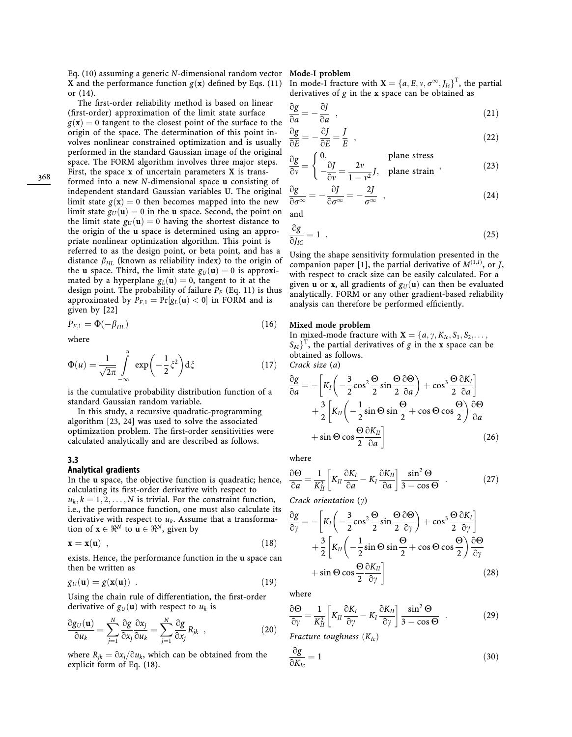Eq. (10) assuming a generic N-dimensional random vector **X** and the performance function  $g(x)$  defined by Eqs. (11) or (14).

The first-order reliability method is based on linear (first-order) approximation of the limit state surface  $g(x) = 0$  tangent to the closest point of the surface to the origin of the space. The determination of this point involves nonlinear constrained optimization and is usually performed in the standard Gaussian image of the original space. The FORM algorithm involves three major steps. First, the space  $x$  of uncertain parameters  $X$  is transformed into a new N-dimensional space u consisting of independent standard Gaussian variables U. The original limit state  $g(x) = 0$  then becomes mapped into the new limit state  $g_U(\mathbf{u})=0$  in the **u** space. Second, the point on the limit state  $g_U(\mathbf{u})=0$  having the shortest distance to the origin of the u space is determined using an appropriate nonlinear optimization algorithm. This point is referred to as the design point, or beta point, and has a distance  $\beta_{HL}$  (known as reliability index) to the origin of the **u** space. Third, the limit state  $g_U(\mathbf{u}) = 0$  is approximated by a hyperplane  $g_L(\mathbf{u})=0$ , tangent to it at the design point. The probability of failure  $P_F$  (Eq. 11) is thus approximated by  $P_{F,1} = Pr[g_L(\mathbf{u}) < 0]$  in FORM and is given by [22]

$$
P_{F,1} = \Phi(-\beta_{HL})\tag{16}
$$

where

$$
\Phi(u) = \frac{1}{\sqrt{2\pi}} \int_{-\infty}^{u} \exp\left(-\frac{1}{2}\xi^2\right) d\xi \tag{17}
$$

is the cumulative probability distribution function of a standard Gaussian random variable.

In this study, a recursive quadratic-programming algorithm [23, 24] was used to solve the associated optimization problem. The first-order sensitivities were calculated analytically and are described as follows.

#### 3.3

## Analytical gradients

In the u space, the objective function is quadratic; hence, calculating its first-order derivative with respect to  $u_k, k = 1, 2, \ldots, N$  is trivial. For the constraint function, i.e., the performance function, one must also calculate its derivative with respect to  $u_k$ . Assume that a transformation of  $\mathbf{x} \in \mathbb{R}^N$  to  $\mathbf{u} \in \mathbb{R}^N$ , given by

$$
\mathbf{x} = \mathbf{x}(\mathbf{u}) \tag{18}
$$

exists. Hence, the performance function in the u space can then be written as

$$
g_U(\mathbf{u}) = g(\mathbf{x}(\mathbf{u})) \tag{19}
$$

Using the chain rule of differentiation, the first-order derivative of  $g_U(\mathbf{u})$  with respect to  $u_k$  is

$$
\frac{\partial g_U(\mathbf{u})}{\partial u_k} = \sum_{j=1}^N \frac{\partial g}{\partial x_j} \frac{\partial x_j}{\partial u_k} = \sum_{j=1}^N \frac{\partial g}{\partial x_j} R_{jk} \quad , \tag{20}
$$

where  $R_{jk} = \partial x_j / \partial u_k$ , which can be obtained from the explicit form of Eq. (18).

#### Mode-I problem

In mode-I fracture with  $X = \{a, E, v, \sigma^{\infty}, J_{Ic}\}^{T}$ , the partial derivatives of  $g$  in the  $x$  space can be obtained as

$$
\frac{\partial g}{\partial a} = -\frac{\partial J}{\partial a} \quad , \tag{21}
$$

$$
\frac{\partial g}{\partial E} = -\frac{\partial J}{\partial E} = \frac{J}{E} \quad , \tag{22}
$$

$$
\frac{\partial g}{\partial v} = \begin{cases} 0, & \text{plane stress} \\ -\frac{\partial J}{\partial v} = \frac{2v}{1 - v^2} J, & \text{plane strain} \end{cases}
$$
 (23)

$$
\frac{\partial g}{\partial \sigma^{\infty}} = -\frac{\partial J}{\partial \sigma^{\infty}} = -\frac{2J}{\sigma^{\infty}} \quad , \tag{24}
$$

and

$$
\frac{\partial g}{\partial J_{IC}} = 1 \tag{25}
$$

Using the shape sensitivity formulation presented in the companion paper [1], the partial derivative of  $M^{(1,I)}$ , or J, with respect to crack size can be easily calculated. For a given **u** or **x**, all gradients of  $g_U(\mathbf{u})$  can then be evaluated analytically. FORM or any other gradient-based reliability analysis can therefore be performed efficiently.

# Mixed mode problem

In mixed-mode fracture with  $X = \{a, \gamma, K_{Ic}, S_1, S_2, \ldots, S_{Ic}\}$  $(S_M)^T$ , the partial derivatives of g in the x space can be obtained as follows. Crack size (a)

$$
\frac{\partial g}{\partial a} = -\left[K_I \left(-\frac{3}{2}\cos^2{\frac{\Theta}{2}}\sin{\frac{\Theta}{2}}\frac{\partial \Theta}{\partial a}\right) + \cos^3{\frac{\Theta}{2}}\frac{\partial K_I}{\partial a}\right] \n+ \frac{3}{2}\left[K_{II} \left(-\frac{1}{2}\sin{\Theta}\sin{\frac{\Theta}{2}} + \cos{\Theta}\cos{\frac{\Theta}{2}}\right)\frac{\partial \Theta}{\partial a} \n+ \sin{\Theta}\cos{\frac{\Theta}{2}}\frac{\partial K_{II}}{\partial a}\right]
$$
\n(26)

where

$$
\frac{\partial \Theta}{\partial a} = \frac{1}{K_{II}^2} \left[ K_{II} \frac{\partial K_I}{\partial a} - K_I \frac{\partial K_{II}}{\partial a} \right] \frac{\sin^2 \Theta}{3 - \cos \Theta} \quad . \tag{27}
$$

Crack orientation  $(y)$ 

$$
\frac{\partial g}{\partial \gamma} = -\left[K_I \left(-\frac{3}{2}\cos^2{\frac{\Theta}{2}}\sin{\frac{\Theta}{2}}\frac{\partial \Theta}{\partial \gamma}\right) + \cos^3{\frac{\Theta}{2}}\frac{\partial K_I}{\partial \gamma}\right] \n+ \frac{3}{2}\left[K_{II} \left(-\frac{1}{2}\sin{\Theta}\sin{\frac{\Theta}{2}} + \cos{\Theta}\cos{\frac{\Theta}{2}}\right)\frac{\partial \Theta}{\partial \gamma} \n+ \sin{\Theta}\cos{\frac{\Theta}{2}}\frac{\partial K_{II}}{\partial \gamma}\right]
$$
\n(28)

where

$$
\frac{\partial \Theta}{\partial \gamma} = \frac{1}{K_{II}^2} \left[ K_{II} \frac{\partial K_I}{\partial \gamma} - K_I \frac{\partial K_{II}}{\partial \gamma} \right] \frac{\sin^2 \Theta}{3 - \cos \Theta} \quad . \tag{29}
$$

Fracture toughness  $(K_{Ic})$ 

$$
\frac{\partial g}{\partial K_{Ic}} = 1\tag{30}
$$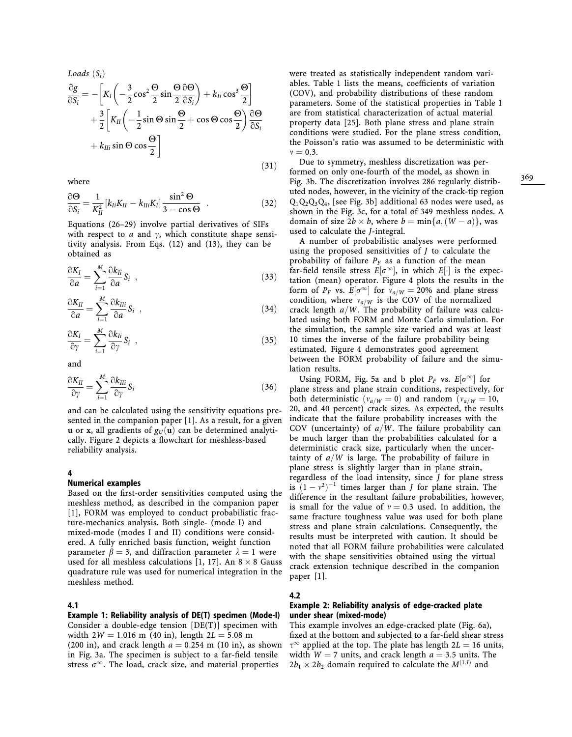$$
loads(S_i)
$$

$$
\frac{\partial g}{\partial S_i} = -\left[K_I \left(-\frac{3}{2}\cos^2{\frac{\Theta}{2}}\sin{\frac{\Theta}{2}}\frac{\partial \Theta}{\partial S_i}\right) + k_{Ii}\cos^3{\frac{\Theta}{2}}\right] \n+ \frac{3}{2}\left[K_{II} \left(-\frac{1}{2}\sin{\Theta}\sin{\frac{\Theta}{2}} + \cos{\Theta}\cos{\frac{\Theta}{2}}\right)\frac{\partial \Theta}{\partial S_i} \n+ k_{IIi}\sin{\Theta}\cos{\frac{\Theta}{2}}\right]
$$
\n(31)

where

$$
\frac{\partial \Theta}{\partial S_i} = \frac{1}{K_{II}^2} \left[ k_{Ii} K_{II} - k_{IIi} K_I \right] \frac{\sin^2 \Theta}{3 - \cos \Theta} \quad . \tag{32}
$$

Equations (26–29) involve partial derivatives of SIFs with respect to a and  $\gamma$ , which constitute shape sensitivity analysis. From Eqs. (12) and (13), they can be obtained as

$$
\frac{\partial K_I}{\partial a} = \sum_{i=1}^{M} \frac{\partial k_{Ii}}{\partial a} S_i \tag{33}
$$

$$
\frac{\partial K_{II}}{\partial a} = \sum_{i=1}^{M} \frac{\partial k_{Ili}}{\partial a} S_i \quad , \tag{34}
$$

$$
\frac{\partial K_I}{\partial \gamma} = \sum_{i=1}^{M} \frac{\partial k_{Ii}}{\partial \gamma} S_i \tag{35}
$$

and

$$
\frac{\partial K_{II}}{\partial \gamma} = \sum_{i=1}^{M} \frac{\partial k_{Ili}}{\partial \gamma} S_i
$$
\n(36)

and can be calculated using the sensitivity equations presented in the companion paper [1]. As a result, for a given **u** or **x**, all gradients of  $g_U(\mathbf{u})$  can be determined analytically. Figure 2 depicts a flowchart for meshless-based reliability analysis.

### 4

#### Numerical examples

Based on the first-order sensitivities computed using the meshless method, as described in the companion paper [1], FORM was employed to conduct probabilistic fracture-mechanics analysis. Both single- (mode I) and mixed-mode (modes I and II) conditions were considered. A fully enriched basis function, weight function parameter  $\beta = 3$ , and diffraction parameter  $\lambda = 1$  were used for all meshless calculations [1, 17]. An  $8 \times 8$  Gauss quadrature rule was used for numerical integration in the meshless method.

## 4.1

Example 1: Reliability analysis of DE(T) specimen (Mode-I) Consider a double-edge tension [DE(T)] specimen with width  $2W = 1.016$  m (40 in), length  $2L = 5.08$  m (200 in), and crack length  $a = 0.254$  m (10 in), as shown in Fig. 3a. The specimen is subject to a far-field tensile stress  $\sigma^{\infty}$ . The load, crack size, and material properties

were treated as statistically independent random variables. Table 1 lists the means, coefficients of variation (COV), and probability distributions of these random parameters. Some of the statistical properties in Table 1 are from statistical characterization of actual material property data [25]. Both plane stress and plane strain conditions were studied. For the plane stress condition, the Poisson's ratio was assumed to be deterministic with  $v = 0.3$ .

Due to symmetry, meshless discretization was performed on only one-fourth of the model, as shown in Fig. 3b. The discretization involves 286 regularly distributed nodes, however, in the vicinity of the crack-tip region  $Q_1Q_2Q_3Q_4$ , [see Fig. 3b] additional 63 nodes were used, as shown in the Fig. 3c, for a total of 349 meshless nodes. A domain of size  $2b \times b$ , where  $b = \min\{a, (W - a)\}\)$ , was used to calculate the J-integral.

A number of probabilistic analyses were performed using the proposed sensitivities of  $J$  to calculate the probability of failure  $P_F$  as a function of the mean far-field tensile stress  $E[\sigma^{\infty}]$ , in which  $E[\cdot]$  is the expectation (mean) operator. Figure 4 plots the results in the form of  $P_F$  vs.  $E[\sigma^{\infty}]$  for  $v_{a/W} = 20\%$  and plane stress condition, where  $v_{a/W}$  is the COV of the normalized crack length  $a/W$ . The probability of failure was calculated using both FORM and Monte Carlo simulation. For the simulation, the sample size varied and was at least 10 times the inverse of the failure probability being estimated. Figure 4 demonstrates good agreement between the FORM probability of failure and the simulation results.

Using FORM, Fig. 5a and b plot  $P_F$  vs.  $E[\sigma^{\infty}]$  for plane stress and plane strain conditions, respectively, for both deterministic ( $v_{a/W} = 0$ ) and random ( $v_{a/W} = 10$ , 20, and 40 percent) crack sizes. As expected, the results indicate that the failure probability increases with the COV (uncertainty) of  $a/W$ . The failure probability can be much larger than the probabilities calculated for a deterministic crack size, particularly when the uncertainty of  $a/W$  is large. The probability of failure in plane stress is slightly larger than in plane strain, regardless of the load intensity, since J for plane stress is  $(1 - v^2)^{-1}$  times larger than J for plane strain. The difference in the resultant failure probabilities, however, is small for the value of  $v = 0.3$  used. In addition, the same fracture toughness value was used for both plane stress and plane strain calculations. Consequently, the results must be interpreted with caution. It should be noted that all FORM failure probabilities were calculated with the shape sensitivities obtained using the virtual crack extension technique described in the companion paper [1].

## 4.2

## Example 2: Reliability analysis of edge-cracked plate under shear (mixed-mode)

This example involves an edge-cracked plate (Fig. 6a), fixed at the bottom and subjected to a far-field shear stress  $\tau^{\infty}$  applied at the top. The plate has length 2L = 16 units, width  $W = 7$  units, and crack length  $a = 3.5$  units. The  $2b_1 \times 2b_2$  domain required to calculate the  $M^{(1,I)}$  and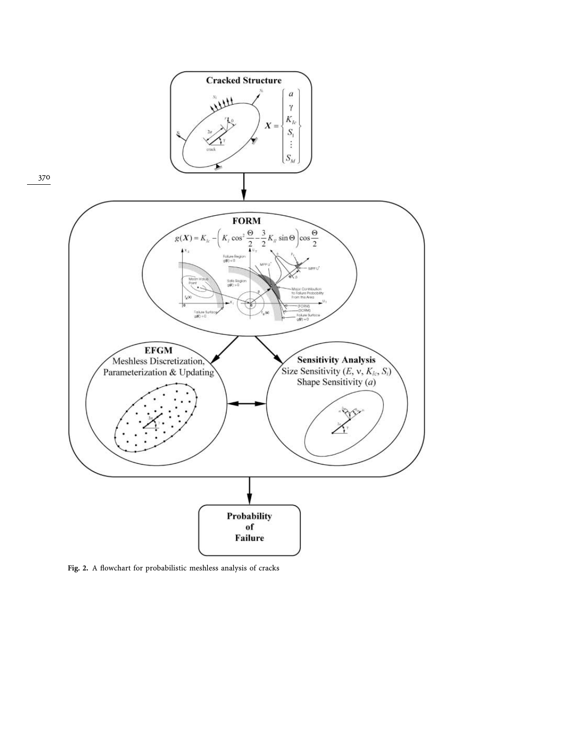

Fig. 2. A flowchart for probabilistic meshless analysis of cracks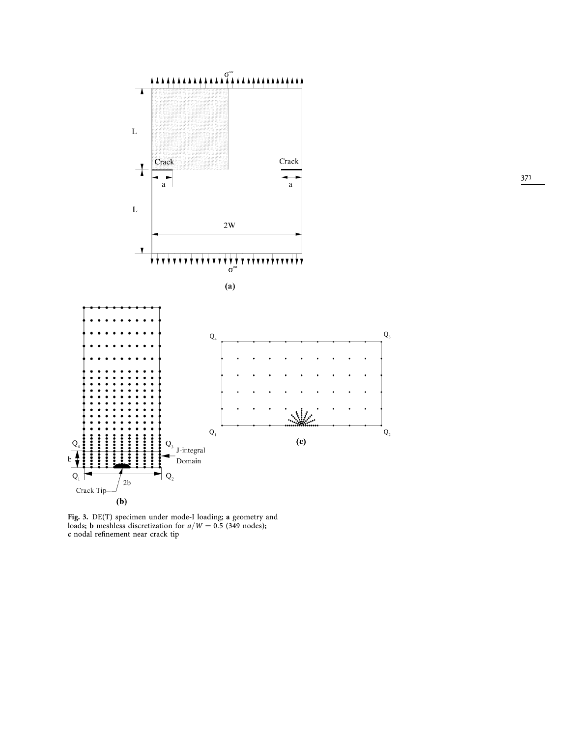

Fig. 3. DE(T) specimen under mode-I loading; a geometry and loads; **b** meshless discretization for  $a/W = 0.5$  (349 nodes); **c** nodal refinement near crack tip

 $\overline{\mathsf{Q}}_3$ 

 $\bar{Q}_2$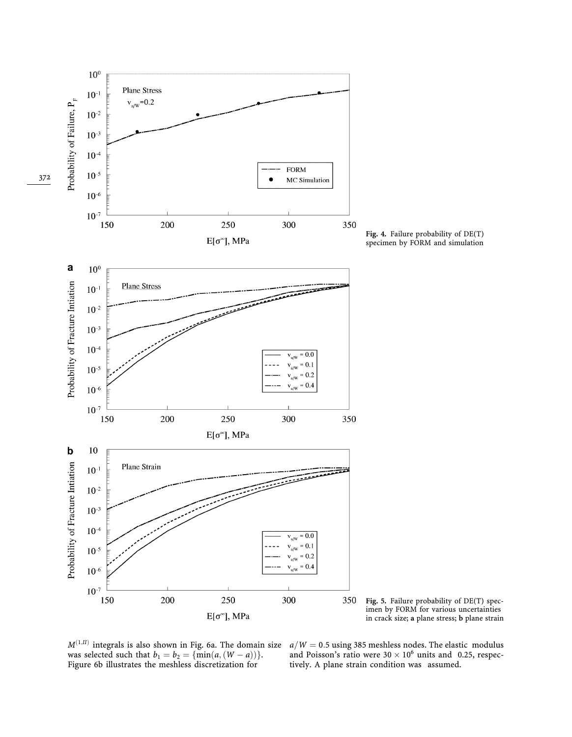

Fig. 4. Failure probability of DE(T) specimen by FORM and simulation

 $M^{(1,II)}$  integrals is also shown in Fig. 6a. The domain size  $a/W = 0.5$  using 385 meshless nodes. The elastic modulus was selected such that  $b_1 = b_2 = \{ \min(a, (W - a)) \}.$ Figure 6b illustrates the meshless discretization for

Fig. 5. Failure probability of DE(T) specimen by FORM for various uncertainties in crack size; a plane stress; b plane strain

and Poisson's ratio were  $30 \times 10^6$  units and 0.25, respectively. A plane strain condition was assumed.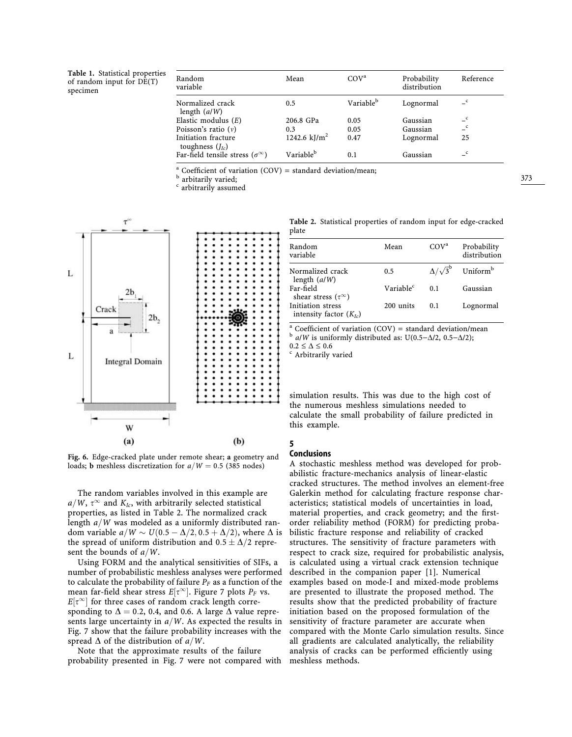Table 1. Statistical properties of random input for DE(T) specimen

| Variable <sup>b</sup><br>$\mathbf{C}$<br>Normalized crack<br>Lognormal<br>0.5<br>length $(a/W)$<br>$\mathbf{C}$<br>Elastic modulus $(E)$<br>206.8 GPa<br>Gaussian<br>0.05<br>$\mathbf{C}$<br>Poisson's ratio $(v)$<br>Gaussian<br>0.05<br>0.3<br>1242.6 $kJ/m2$<br>Initiation fracture<br>0.47<br>Lognormal<br>25<br>toughness $(J_{Ic})$<br>Variable <sup>b</sup><br>$\mathbf{C}$<br>Far-field tensile stress $(\sigma^{\infty})$<br>Gaussian<br>0.1 | Random<br>variable | Mean | COV <sup>a</sup> | Probability<br>distribution | Reference |
|-------------------------------------------------------------------------------------------------------------------------------------------------------------------------------------------------------------------------------------------------------------------------------------------------------------------------------------------------------------------------------------------------------------------------------------------------------|--------------------|------|------------------|-----------------------------|-----------|
|                                                                                                                                                                                                                                                                                                                                                                                                                                                       |                    |      |                  |                             |           |
|                                                                                                                                                                                                                                                                                                                                                                                                                                                       |                    |      |                  |                             |           |
|                                                                                                                                                                                                                                                                                                                                                                                                                                                       |                    |      |                  |                             |           |
|                                                                                                                                                                                                                                                                                                                                                                                                                                                       |                    |      |                  |                             |           |
|                                                                                                                                                                                                                                                                                                                                                                                                                                                       |                    |      |                  |                             |           |

a Coefficient of variation (COV) = standard deviation/mean;

b arbitarily varied;

c arbitrarily assumed



Fig. 6. Edge-cracked plate under remote shear; a geometry and loads; **b** meshless discretization for  $a/W = 0.5$  (385 nodes)

The random variables involved in this example are a/W,  $\tau^\infty$  and  $K_{Ic}$ , with arbitrarily selected statistical properties, as listed in Table 2. The normalized crack length  $a/W$  was modeled as a uniformly distributed random variable  $a/W \sim U(0.5 - \Delta/2, 0.5 + \Delta/2)$ , where  $\Delta$  is the spread of uniform distribution and  $0.5 \pm \Delta/2$  represent the bounds of  $a/W$ .

Using FORM and the analytical sensitivities of SIFs, a number of probabilistic meshless analyses were performed to calculate the probability of failure  $P_F$  as a function of the mean far-field shear stress  $E[\tau^{\infty}]$ . Figure 7 plots  $P_F$  vs.  $E[\tau^{\infty}]$  for three cases of random crack length corresponding to  $\Delta = 0.2$ , 0.4, and 0.6. A large  $\Delta$  value represents large uncertainty in  $a/W$ . As expected the results in Fig. 7 show that the failure probability increases with the spread  $\Delta$  of the distribution of  $a/W$ .

Note that the approximate results of the failure probability presented in Fig. 7 were not compared with

Table 2. Statistical properties of random input for edge-cracked plate

| Random<br>variable                            | Mean                  | $C\Omega V^a$         | Probability<br>distribution |
|-----------------------------------------------|-----------------------|-----------------------|-----------------------------|
| Normalized crack<br>length $(a/W)$            | 0.5                   | $\Delta/\sqrt{3}^{b}$ | Uniform <sup>b</sup>        |
| Far-field<br>shear stress $(\tau^{\infty})$   | Variable <sup>c</sup> | 0.1                   | Gaussian                    |
| Initiation stress<br>intensity factor $(KLc)$ | 200 units             | 0.1                   | Lognormal                   |

<sup>a</sup> Coefficient of variation (COV) = standard deviation/mean b

a/W is uniformly distributed as: U(0.5- $\Delta/2$ , 0.5- $\Delta/2$ );

 $0.2 \leq \Delta \leq 0.6$ 

Arbitrarily varied

simulation results. This was due to the high cost of the numerous meshless simulations needed to calculate the small probability of failure predicted in this example.

# **Conclusions**

5

A stochastic meshless method was developed for probabilistic fracture-mechanics analysis of linear-elastic cracked structures. The method involves an element-free Galerkin method for calculating fracture response characteristics; statistical models of uncertainties in load, material properties, and crack geometry; and the firstorder reliability method (FORM) for predicting probabilistic fracture response and reliability of cracked structures. The sensitivity of fracture parameters with respect to crack size, required for probabilistic analysis, is calculated using a virtual crack extension technique described in the companion paper [1]. Numerical examples based on mode-I and mixed-mode problems are presented to illustrate the proposed method. The results show that the predicted probability of fracture initiation based on the proposed formulation of the sensitivity of fracture parameter are accurate when compared with the Monte Carlo simulation results. Since all gradients are calculated analytically, the reliability analysis of cracks can be performed efficiently using meshless methods.